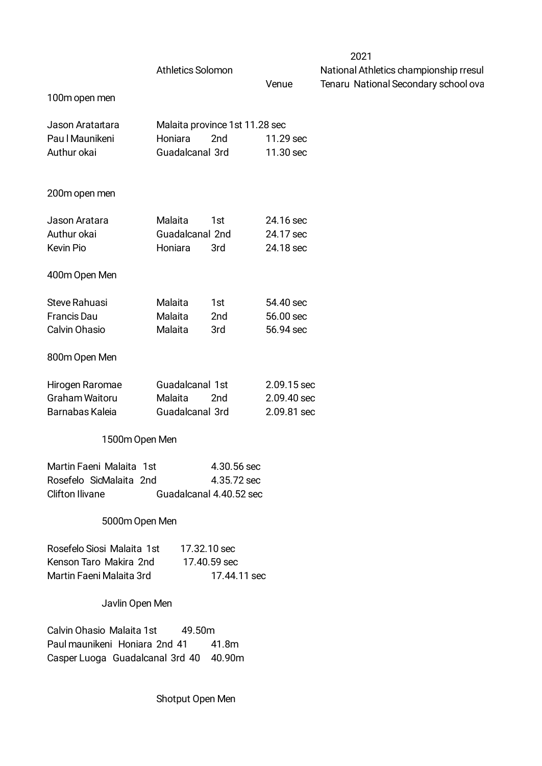|                                                                                                      | <b>Athletics Solomon</b>                      |                                                       |                                           | ∠∪∠ ।<br>National Athletics champi |
|------------------------------------------------------------------------------------------------------|-----------------------------------------------|-------------------------------------------------------|-------------------------------------------|------------------------------------|
| 100m open men                                                                                        |                                               |                                                       | Venue                                     | <b>Tenaru National Seconda</b>     |
| Jason Aratartara<br>Pau I Maunikeni<br>Authur okai                                                   | Honiara<br>Guadalcanal 3rd                    | Malaita province 1st 11.28 sec<br>2nd                 | 11.29 sec<br>11.30 sec                    |                                    |
| 200m open men                                                                                        |                                               |                                                       |                                           |                                    |
| Jason Aratara<br>Authur okai<br>Kevin Pio                                                            | Malaita<br>Guadalcanal 2nd<br>Honiara         | 1st<br>3rd                                            | 24.16 sec<br>24.17 sec<br>24.18 sec       |                                    |
| 400m Open Men                                                                                        |                                               |                                                       |                                           |                                    |
| Steve Rahuasi<br><b>Francis Dau</b><br>Calvin Ohasio                                                 | Malaita<br>Malaita<br>Malaita                 | 1st<br>2nd<br>3rd                                     | 54.40 sec<br>56.00 sec<br>56.94 sec       |                                    |
| 800m Open Men                                                                                        |                                               |                                                       |                                           |                                    |
| Hirogen Raromae<br><b>Graham Waitoru</b><br>Barnabas Kaleia                                          | Guadalcanal 1st<br>Malaita<br>Guadalcanal 3rd | 2nd                                                   | 2.09.15 sec<br>2.09.40 sec<br>2.09.81 sec |                                    |
| 1500m Open Men                                                                                       |                                               |                                                       |                                           |                                    |
| Martin Faeni Malaita 1st<br>Rosefelo SicMalaita 2nd<br><b>Clifton Ilivane</b>                        |                                               | 4.30.56 sec<br>4.35.72 sec<br>Guadalcanal 4.40.52 sec |                                           |                                    |
| 5000m Open Men                                                                                       |                                               |                                                       |                                           |                                    |
| Rosefelo Siosi Malaita 1st<br>Kenson Taro Makira 2nd<br>Martin Faeni Malaita 3rd                     | 17.32.10 sec                                  | 17.40.59 sec<br>17.44.11 sec                          |                                           |                                    |
| Javlin Open Men                                                                                      |                                               |                                                       |                                           |                                    |
| Calvin Ohasio Malaita 1st<br>Paul maunikeni Honiara 2nd 41<br>Casper Luoga Guadalcanal 3rd 40 40.90m | 49.50m                                        | 41.8m                                                 |                                           |                                    |
|                                                                                                      |                                               |                                                       |                                           |                                    |

Shotput Open Men

2021

ionship rresul ary school ov<mark>a</mark>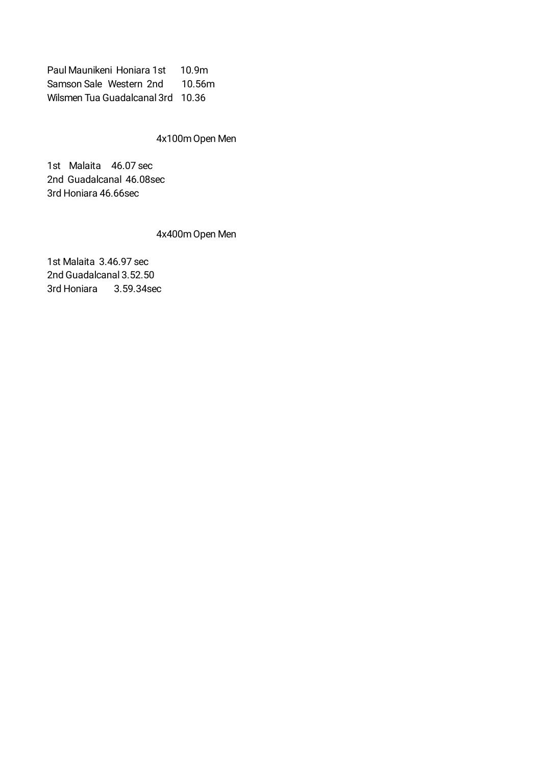Paul Maunikeni Honiara 1st 10.9m Samson Sale Western 2nd 10.56m Wilsmen Tua Guadalcanal 3rd 10.36

## 4x100m Open Men

1st Malaita 46.07 sec 2nd Guadalcanal 46.08sec 3rd Honiara 46.66sec

## 4x400m Open Men

1st Malaita 3.46.97 sec 2nd Guadalcanal 3.52.50 3rd Honiara 3.59.34sec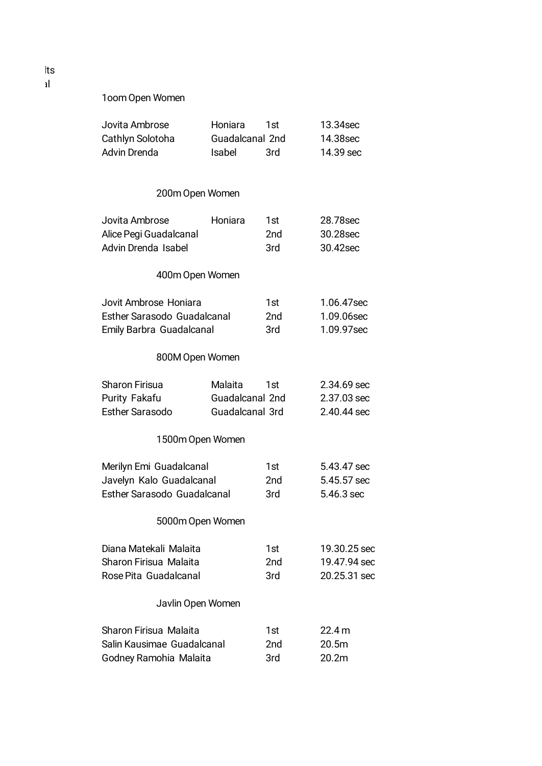1oom Open Women

| Jovita Ambrose                     | Honiara                | 1st | 13.34sec          |
|------------------------------------|------------------------|-----|-------------------|
| Cathlyn Solotoha                   | Guadalcanal 2nd        |     | 14.38sec          |
| <b>Advin Drenda</b>                | Isabel                 | 3rd | 14.39 sec         |
| 200m Open Women                    |                        |     |                   |
| Jovita Ambrose                     | Honiara                | 1st | 28.78sec          |
| Alice Pegi Guadalcanal             |                        | 2nd | 30.28sec          |
| Advin Drenda Isabel                |                        | 3rd | 30.42sec          |
| 400m Open Women                    |                        |     |                   |
| Jovit Ambrose Honiara              |                        | 1st | 1.06.47sec        |
| <b>Esther Sarasodo Guadalcanal</b> |                        | 2nd | 1.09.06sec        |
| Emily Barbra Guadalcanal           |                        | 3rd | 1.09.97sec        |
| 800M Open Women                    |                        |     |                   |
| <b>Sharon Firisua</b>              | Malaita                | 1st | 2.34.69 sec       |
| Purity Fakafu                      | <b>Guadalcanal 2nd</b> |     | 2.37.03 sec       |
| <b>Esther Sarasodo</b>             | Guadalcanal 3rd        |     | 2.40.44 sec       |
| 1500m Open Women                   |                        |     |                   |
| Merilyn Emi Guadalcanal            |                        | 1st | 5.43.47 sec       |
| Javelyn Kalo Guadalcanal           |                        | 2nd | 5.45.57 sec       |
| Esther Sarasodo Guadalcanal        |                        | 3rd | 5.46.3 sec        |
| 5000m Open Women                   |                        |     |                   |
| Diana Matekali Malaita             |                        | 1st | 19.30.25 sec      |
| Sharon Firisua Malaita             |                        | 2nd | 19.47.94 sec      |
| Rose Pita Guadalcanal              |                        | 3rd | 20.25.31 sec      |
| Javlin Open Women                  |                        |     |                   |
| Sharon Firisua Malaita             |                        | 1st | 22.4 m            |
| Salin Kausimae Guadalcanal         |                        | 2nd | 20.5 <sub>m</sub> |
| Godney Ramohia Malaita             |                        | 3rd | 20.2m             |

lts al